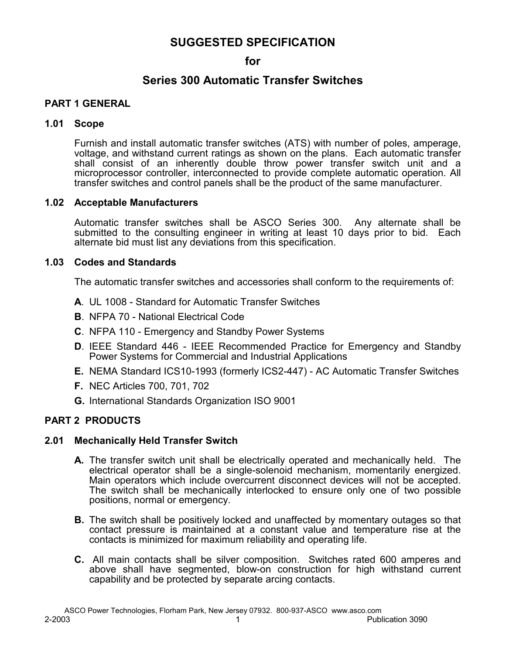# **SUGGESTED SPECIFICATION**

## **for**

# **Series 300 Automatic Transfer Switches**

## **PART 1 GENERAL**

#### **1.01 Scope**

Furnish and install automatic transfer switches (ATS) with number of poles, amperage, voltage, and withstand current ratings as shown on the plans. Each automatic transfer shall consist of an inherently double throw power transfer switch unit and a microprocessor controller, interconnected to provide complete automatic operation. All transfer switches and control panels shall be the product of the same manufacturer.

## **1.02 Acceptable Manufacturers**

Automatic transfer switches shall be ASCO Series 300. Any alternate shall be submitted to the consulting engineer in writing at least 10 days prior to bid. Each alternate bid must list any deviations from this specification.

## **1.03 Codes and Standards**

The automatic transfer switches and accessories shall conform to the requirements of:

- **A**. UL 1008 Standard for Automatic Transfer Switches
- **B**. NFPA 70 National Electrical Code
- **C**. NFPA 110 Emergency and Standby Power Systems
- **D**. IEEE Standard 446 IEEE Recommended Practice for Emergency and Standby Power Systems for Commercial and Industrial Applications
- **E.** NEMA Standard ICS10-1993 (formerly ICS2-447) AC Automatic Transfer Switches
- **F.** NEC Articles 700, 701, 702
- **G.** International Standards Organization ISO 9001

## **PART 2 PRODUCTS**

#### **2.01 Mechanically Held Transfer Switch**

- **A.** The transfer switch unit shall be electrically operated and mechanically held. The electrical operator shall be a single-solenoid mechanism, momentarily energized. Main operators which include overcurrent disconnect devices will not be accepted. The switch shall be mechanically interlocked to ensure only one of two possible positions, normal or emergency.
- **B.** The switch shall be positively locked and unaffected by momentary outages so that contact pressure is maintained at a constant value and temperature rise at the contacts is minimized for maximum reliability and operating life.
- **C.** All main contacts shall be silver composition. Switches rated 600 amperes and above shall have segmented, blow-on construction for high withstand current capability and be protected by separate arcing contacts.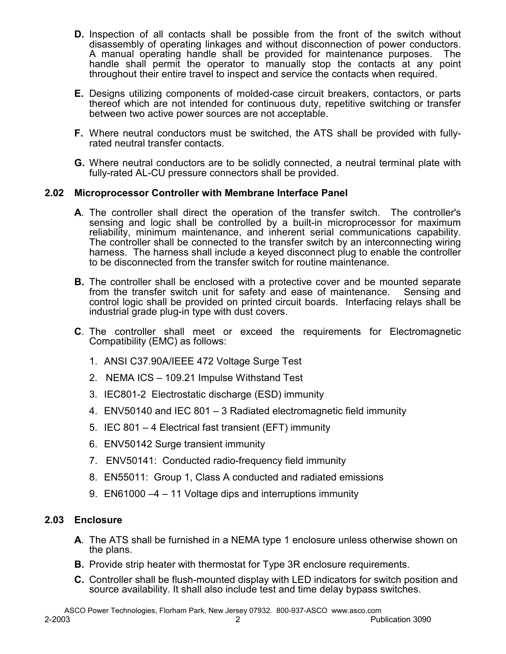- **D.** Inspection of all contacts shall be possible from the front of the switch without disassembly of operating linkages and without disconnection of power conductors. A manual operating handle shall be provided for maintenance purposes. The handle shall permit the operator to manually stop the contacts at any point throughout their entire travel to inspect and service the contacts when required.
- **E.** Designs utilizing components of molded-case circuit breakers, contactors, or parts thereof which are not intended for continuous duty, repetitive switching or transfer between two active power sources are not acceptable.
- **F.** Where neutral conductors must be switched, the ATS shall be provided with fullyrated neutral transfer contacts.
- **G.** Where neutral conductors are to be solidly connected, a neutral terminal plate with fully-rated AL-CU pressure connectors shall be provided.

## **2.02 Microprocessor Controller with Membrane Interface Panel**

- **A**. The controller shall direct the operation of the transfer switch. The controller's sensing and logic shall be controlled by a built-in microprocessor for maximum reliability, minimum maintenance, and inherent serial communications capability. The controller shall be connected to the transfer switch by an interconnecting wiring harness. The harness shall include a keyed disconnect plug to enable the controller to be disconnected from the transfer switch for routine maintenance.
- **B.** The controller shall be enclosed with a protective cover and be mounted separate from the transfer switch unit for safety and ease of maintenance. Sensing and control logic shall be provided on printed circuit boards. Interfacing relays shall be industrial grade plug-in type with dust covers.
- **C**. The controller shall meet or exceed the requirements for Electromagnetic Compatibility (EMC) as follows:
	- 1. ANSI C37.90A/IEEE 472 Voltage Surge Test
	- 2. NEMA ICS 109.21 Impulse Withstand Test
	- 3. IEC801-2 Electrostatic discharge (ESD) immunity
	- 4. ENV50140 and IEC 801 3 Radiated electromagnetic field immunity
	- 5. IEC 801 4 Electrical fast transient (EFT) immunity
	- 6. ENV50142 Surge transient immunity
	- 7. ENV50141: Conducted radio-frequency field immunity
	- 8. EN55011: Group 1, Class A conducted and radiated emissions
	- 9. EN61000 –4 11 Voltage dips and interruptions immunity

# **2.03 Enclosure**

- **A**. The ATS shall be furnished in a NEMA type 1 enclosure unless otherwise shown on the plans.
- **B.** Provide strip heater with thermostat for Type 3R enclosure requirements.
- **C.** Controller shall be flush-mounted display with LED indicators for switch position and source availability. It shall also include test and time delay bypass switches.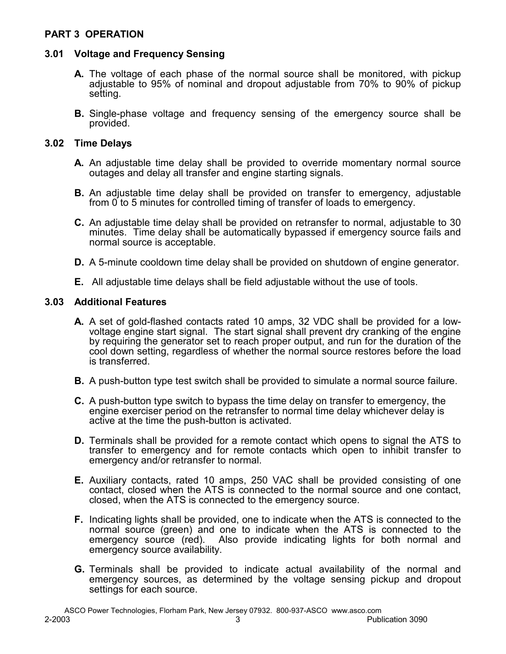## **PART 3 OPERATION**

## **3.01 Voltage and Frequency Sensing**

- **A.** The voltage of each phase of the normal source shall be monitored, with pickup adjustable to 95% of nominal and dropout adjustable from 70% to 90% of pickup setting.
- **B.** Single-phase voltage and frequency sensing of the emergency source shall be provided.

#### **3.02 Time Delays**

- **A.** An adjustable time delay shall be provided to override momentary normal source outages and delay all transfer and engine starting signals.
- **B.** An adjustable time delay shall be provided on transfer to emergency, adjustable from 0 to 5 minutes for controlled timing of transfer of loads to emergency.
- **C.** An adjustable time delay shall be provided on retransfer to normal, adjustable to 30 minutes. Time delay shall be automatically bypassed if emergency source fails and normal source is acceptable.
- **D.** A 5-minute cooldown time delay shall be provided on shutdown of engine generator.
- **E.** All adjustable time delays shall be field adjustable without the use of tools.

## **3.03 Additional Features**

- **A.** A set of gold-flashed contacts rated 10 amps, 32 VDC shall be provided for a lowvoltage engine start signal. The start signal shall prevent dry cranking of the engine by requiring the generator set to reach proper output, and run for the duration of the cool down setting, regardless of whether the normal source restores before the load is transferred.
- **B.** A push-button type test switch shall be provided to simulate a normal source failure.
- **C.** A push-button type switch to bypass the time delay on transfer to emergency, the engine exerciser period on the retransfer to normal time delay whichever delay is active at the time the push-button is activated.
- **D.** Terminals shall be provided for a remote contact which opens to signal the ATS to transfer to emergency and for remote contacts which open to inhibit transfer to emergency and/or retransfer to normal.
- **E.** Auxiliary contacts, rated 10 amps, 250 VAC shall be provided consisting of one contact, closed when the ATS is connected to the normal source and one contact, closed, when the ATS is connected to the emergency source.
- **F.** Indicating lights shall be provided, one to indicate when the ATS is connected to the normal source (green) and one to indicate when the ATS is connected to the emergency source (red). Also provide indicating lights for both normal and emergency source availability.
- **G.** Terminals shall be provided to indicate actual availability of the normal and emergency sources, as determined by the voltage sensing pickup and dropout settings for each source.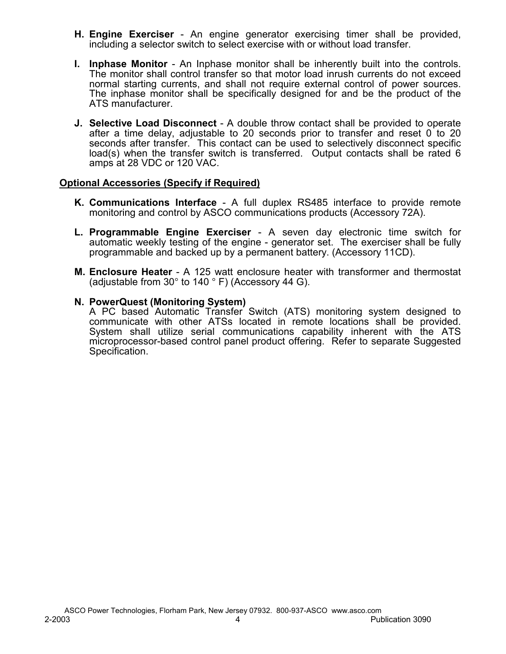- **H. Engine Exerciser**  An engine generator exercising timer shall be provided, including a selector switch to select exercise with or without load transfer.
- **I. Inphase Monitor**  An Inphase monitor shall be inherently built into the controls. The monitor shall control transfer so that motor load inrush currents do not exceed normal starting currents, and shall not require external control of power sources. The inphase monitor shall be specifically designed for and be the product of the ATS manufacturer.
- **J. Selective Load Disconnect** A double throw contact shall be provided to operate after a time delay, adjustable to 20 seconds prior to transfer and reset 0 to 20 seconds after transfer. This contact can be used to selectively disconnect specific load(s) when the transfer switch is transferred. Output contacts shall be rated 6 amps at 28 VDC or 120 VAC.

## **Optional Accessories (Specify if Required)**

- **K. Communications Interface**  A full duplex RS485 interface to provide remote monitoring and control by ASCO communications products (Accessory 72A).
- **L. Programmable Engine Exerciser** A seven day electronic time switch for automatic weekly testing of the engine - generator set. The exerciser shall be fully programmable and backed up by a permanent battery. (Accessory 11CD).
- **M. Enclosure Heater** A 125 watt enclosure heater with transformer and thermostat (adjustable from  $30^\circ$  to 140  $^\circ$  F) (Accessory 44 G).

#### **N. PowerQuest (Monitoring System)**

A PC based Automatic Transfer Switch (ATS) monitoring system designed to communicate with other ATSs located in remote locations shall be provided. System shall utilize serial communications capability inherent with the ATS microprocessor-based control panel product offering. Refer to separate Suggested Specification.